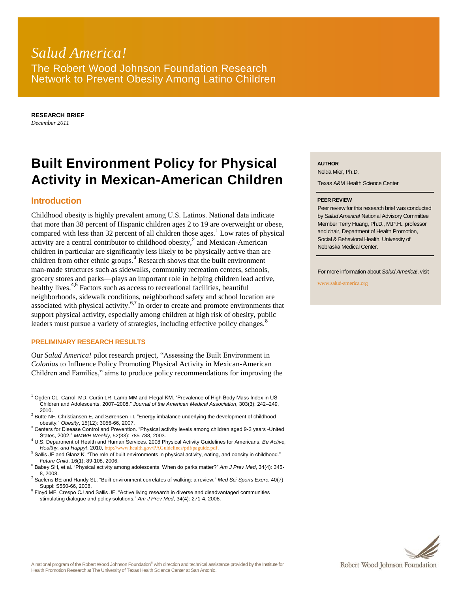# *Salud America!* The Robert Wood Johnson Foundation Research Network to Prevent Obesity Among Latino Children

**RESEARCH BRIEF** *December 2011*

# **Built Environment Policy for Physical Activity in Mexican-American Children**

## **Introduction**

Childhood obesity is highly prevalent among U.S. Latinos. National data indicate that more than 38 percent of Hispanic children ages 2 to 19 are overweight or obese, compared with less than 32 percent of all children those ages.<sup>1</sup> Low rates of physical activity are a central contributor to childhood obesity, $^2$  and Mexican-American children in particular are significantly less likely to be physically active than are children from other ethnic groups.<sup>3</sup> Research shows that the built environment man-made structures such as sidewalks, community recreation centers, schools, grocery stores and parks—plays an important role in helping children lead active, healthy lives.<sup>4,5</sup> Factors such as access to recreational facilities, beautiful neighborhoods, sidewalk conditions, neighborhood safety and school location are associated with physical activity. $6,7$  In order to create and promote environments that support physical activity, especially among children at high risk of obesity, public leaders must pursue a variety of strategies, including effective policy changes.<sup>8</sup>

#### **PRELIMINARY RESEARCH RESULTS**

Our *Salud America!* pilot research project, "Assessing the Built Environment in *Colonias* to Influence Policy Promoting Physical Activity in Mexican-American Children and Families," aims to produce policy recommendations for improving the

 $1$  Ogden CL, Carroll MD, Curtin LR, Lamb MM and Flegal KM. "Prevalence of High Body Mass Index in US Children and Adolescents, 2007–2008." *Journal of the American Medical Association*, 303(3): 242–249, 2010.

 $<sup>2</sup>$  Butte NF, Christiansen E, and Sørensen TI. "Energy imbalance underlying the development of childhood</sup> obesity." *Obesity*, 15(12): 3056-66, 2007.

<sup>3</sup> Centers for Disease Control and Prevention. "Physical activity levels among children aged 9-3 years -United States, 2002." *MMWR Weekly*, 52(33): 785-788, 2003.

<sup>4</sup> U.S. Department of Health and Human Services. 2008 Physical Activity Guidelines for Americans. *Be Active, Healthy, and Happy!*, 2010, <http://www.health.gov/PAGuidelines/pdf/paguide.pdf>.

<sup>5</sup> Sallis JF and Glanz K. "The role of built environments in physical activity, eating, and obesity in childhood." *Future Child*, 16(1): 89-108, 2006.

<sup>6</sup> Babey SH, et al. "Physical activity among adolescents. When do parks matter?" *Am J Prev Med*, 34(4): 345- 8, 2008.

<sup>7</sup> Saelens BE and Handy SL. "Built environment correlates of walking: a review." *Med Sci Sports Exerc*, 40(7) Suppl: S550-66, 2008.

<sup>8</sup> Floyd MF, Crespo CJ and Sallis JF. "Active living research in diverse and disadvantaged communities stimulating dialogue and policy solutions." *Am J Prev Med*, 34(4): 271-4, 2008.

#### **AUTHOR**

Nelda Mier, Ph.D.

Texas A&M Health Science Center

#### **PEER REVIEW**

Peer review for this research brief was conducted by *Salud America!* National Advisory Committee Member Terry Huang, Ph.D., M.P.H., professor and chair, Department of Health Promotion, Social & Behavioral Health, University of Nebraska Medical Center.

For more information about *Salud America!*, visit

www.salud-america.org

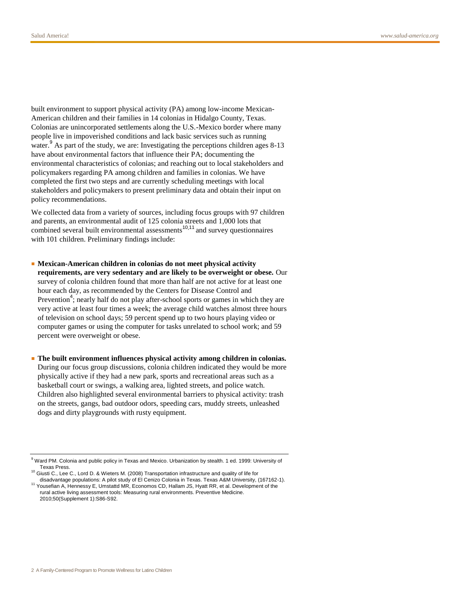built environment to support physical activity (PA) among low-income Mexican-American children and their families in 14 colonias in Hidalgo County, Texas. Colonias are unincorporated settlements along the U.S.-Mexico border where many people live in impoverished conditions and lack basic services such as running water.<sup>9</sup> As part of the study, we are: Investigating the perceptions children ages  $8-13$ have about environmental factors that influence their PA; documenting the environmental characteristics of colonias; and reaching out to local stakeholders and policymakers regarding PA among children and families in colonias. We have completed the first two steps and are currently scheduling meetings with local stakeholders and policymakers to present preliminary data and obtain their input on policy recommendations.

We collected data from a variety of sources, including focus groups with 97 children and parents, an environmental audit of 125 colonia streets and 1,000 lots that combined several built environmental assessments<sup>10,11</sup> and survey questionnaires with 101 children. Preliminary findings include:

- **Mexican-American children in colonias do not meet physical activity requirements, are very sedentary and are likely to be overweight or obese.** Our survey of colonia children found that more than half are not active for at least one hour each day, as recommended by the Centers for Disease Control and Prevention<sup>4</sup>; nearly half do not play after-school sports or games in which they are very active at least four times a week; the average child watches almost three hours of television on school days; 59 percent spend up to two hours playing video or computer games or using the computer for tasks unrelated to school work; and 59 percent were overweight or obese.
- **The built environment influences physical activity among children in colonias.** During our focus group discussions, colonia children indicated they would be more physically active if they had a new park, sports and recreational areas such as a basketball court or swings, a walking area, lighted streets, and police watch. Children also highlighted several environmental barriers to physical activity: trash on the streets, gangs, bad outdoor odors, speeding cars, muddy streets, unleashed dogs and dirty playgrounds with rusty equipment.

<sup>&</sup>lt;sup>9</sup> Ward PM. Colonia and public policy in Texas and Mexico. Urbanization by stealth. 1 ed. 1999: University of Texas Press.

<sup>10</sup> Giusti C., Lee C., Lord D. & Wieters M. (2008) Transportation infrastructure and quality of life for disadvantage populations: A pilot study of El Cenizo Colonia in Texas. Texas A&M University, (167162-1).

<sup>11</sup> Yousefian A, Hennessy E, Umstattd MR, Economos CD, Hallam JS, Hyatt RR, et al. Development of the rural active living assessment tools: Measuring rural environments. Preventive Medicine. 2010;50(Supplement 1):S86-S92.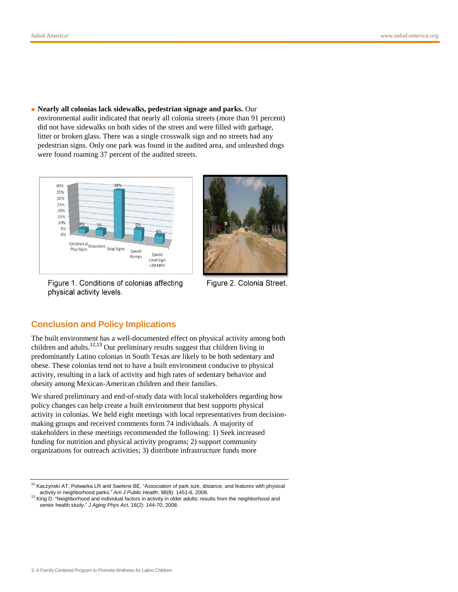■ **Nearly all colonias lack sidewalks, pedestrian signage and parks.** Our environmental audit indicated that nearly all colonia streets (more than 91 percent) did not have sidewalks on both sides of the street and were filled with garbage, litter or broken glass. There was a single crosswalk sign and no streets had any pedestrian signs. Only one park was found in the audited area, and unleashed dogs were found roaming 37 percent of the audited streets.



Figure 1. Conditions of colonias affecting physical activity levels.



Figure 2. Colonia Street.

### **Conclusion and Policy Implications**

The built environment has a well-documented effect on physical activity among both children and adults.<sup>12,13</sup> Our preliminary results suggest that children living in predominantly Latino colonias in South Texas are likely to be both sedentary and obese. These colonias tend not to have a built environment conducive to physical activity, resulting in a lack of activity and high rates of sedentary behavior and obesity among Mexican-American children and their families.

We shared preliminary and end-of-study data with local stakeholders regarding how policy changes can help create a built environment that best supports physical activity in colonias. We held eight meetings with local representatives from decisionmaking groups and received comments form 74 individuals. A majority of stakeholders in these meetings recommended the following: 1) Seek increased funding for nutrition and physical activity programs; 2) support community organizations for outreach activities; 3) distribute infrastructure funds more

<sup>&</sup>lt;sup>12</sup> Kaczynski AT, Potwarka LR and Saelens BE. "Association of park size, distance, and features with physical activity in neighborhood parks." *Am J Public Health*, 98(8): 1451-6, 2008.

<sup>&</sup>lt;sup>13</sup> King D. "Neighborhood and individual factors in activity in older adults: results from the neighborhood and senior health study." *J Aging Phys Act*, 16(2): 144-70, 2008.